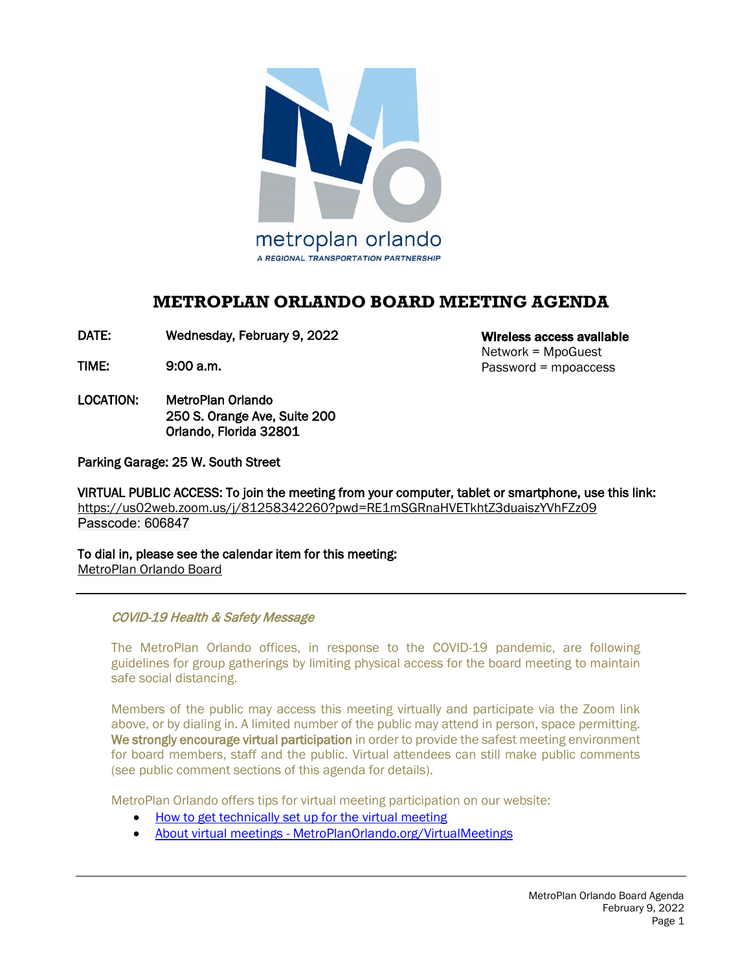

# **METROPLAN ORLANDO BOARD MEETING AGENDA**

DATE: Wednesday, February 9, 2022

TIME: 9:00 a.m.

LOCATION: MetroPlan Orlando 250 S. Orange Ave, Suite 200 Orlando, Florida 32801

Wireless access available Network = MpoGuest Password = mpoaccess

Parking Garage: 25 W. South Street

VIRTUAL PUBLIC ACCESS: To join the meeting from your computer, tablet or smartphone, use this link: <https://us02web.zoom.us/j/81258342260?pwd=RE1mSGRnaHVETkhtZ3duaiszYVhFZz09> Passcode: 606847

To dial in, please see the calendar item for this meeting: [MetroPlan Orlando Board](https://metroplanorlando.org/meetings/metroplan-orlando-board-02-09-22/) 

COVID-19 Health & Safety Message

 The MetroPlan Orlando offices, in response to the COVID-19 pandemic, are following guidelines for group gatherings by limiting physical access for the board meeting to maintain safe social distancing.

Members of the public may access this meeting virtually and participate via the Zoom link above, or by dialing in. A limited number of the public may attend in person, space permitting. We strongly encourage virtual participation in order to provide the safest meeting environment for board members, staff and the public. Virtual attendees can still make public comments (see public comment sections of this agenda for details).

MetroPlan Orlando offers tips for virtual meeting participation on our website:

- [How to get technically set up for the virtual meeting](https://metroplanorlando.org/wp-content/uploads/VM_TipsSheet_SetUp_Public-FINAL.pdf)
- About virtual meetings [MetroPlanOrlando.org/VirtualMeetings](https://metroplanorlando.org/virtualmeetings)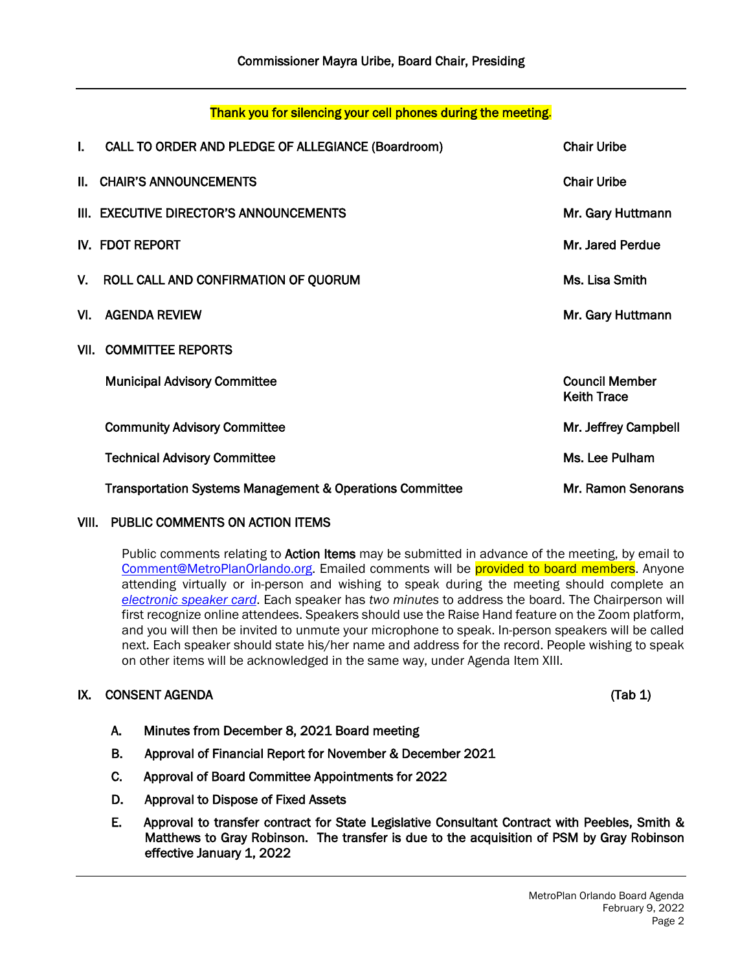Page 2

#### Thank you for silencing your cell phones during the meeting.

| L. | CALL TO ORDER AND PLEDGE OF ALLEGIANCE (Boardroom)       | <b>Chair Uribe</b>                          |
|----|----------------------------------------------------------|---------------------------------------------|
|    | II. CHAIR'S ANNOUNCEMENTS                                | <b>Chair Uribe</b>                          |
|    | III. EXECUTIVE DIRECTOR'S ANNOUNCEMENTS                  | Mr. Gary Huttmann                           |
|    | IV. FDOT REPORT                                          | Mr. Jared Perdue                            |
|    | V. ROLL CALL AND CONFIRMATION OF QUORUM                  | Ms. Lisa Smith                              |
|    | VI. AGENDA REVIEW                                        | Mr. Gary Huttmann                           |
|    | <b>VII. COMMITTEE REPORTS</b>                            |                                             |
|    | <b>Municipal Advisory Committee</b>                      | <b>Council Member</b><br><b>Keith Trace</b> |
|    | <b>Community Advisory Committee</b>                      | Mr. Jeffrey Campbell                        |
|    | <b>Technical Advisory Committee</b>                      | Ms. Lee Pulham                              |
|    | Transportation Systems Management & Operations Committee | Mr. Ramon Senorans                          |

# VIII. PUBLIC COMMENTS ON ACTION ITEMS

Public comments relating to Action Items may be submitted in advance of the meeting, by email to [Comment@MetroPlanOrlando.org.](mailto:Comment@MetroPlanOrlando.org) Emailed comments will be provided to board members. Anyone attending virtually or in-person and wishing to speak during the meeting should complete an *[electronic speaker card](https://metroplanorlando.org/board-committees/speaker-card-for-meetings/)*. Each speaker has *two minutes* to address the board. The Chairperson will first recognize online attendees. Speakers should use the Raise Hand feature on the Zoom platform, and you will then be invited to unmute your microphone to speak. In-person speakers will be called next. Each speaker should state his/her name and address for the record. People wishing to speak on other items will be acknowledged in the same way, under Agenda Item XIII.

# IX. CONSENT AGENDA (Tab 1)

- A. Minutes from December 8, 2021 Board meeting
- B. Approval of Financial Report for November & December 2021
- C. Approval of Board Committee Appointments for 2022
- D. Approval to Dispose of Fixed Assets
- E. Approval to transfer contract for State Legislative Consultant Contract with Peebles, Smith & Matthews to Gray Robinson. The transfer is due to the acquisition of PSM by Gray Robinson effective January 1, 2022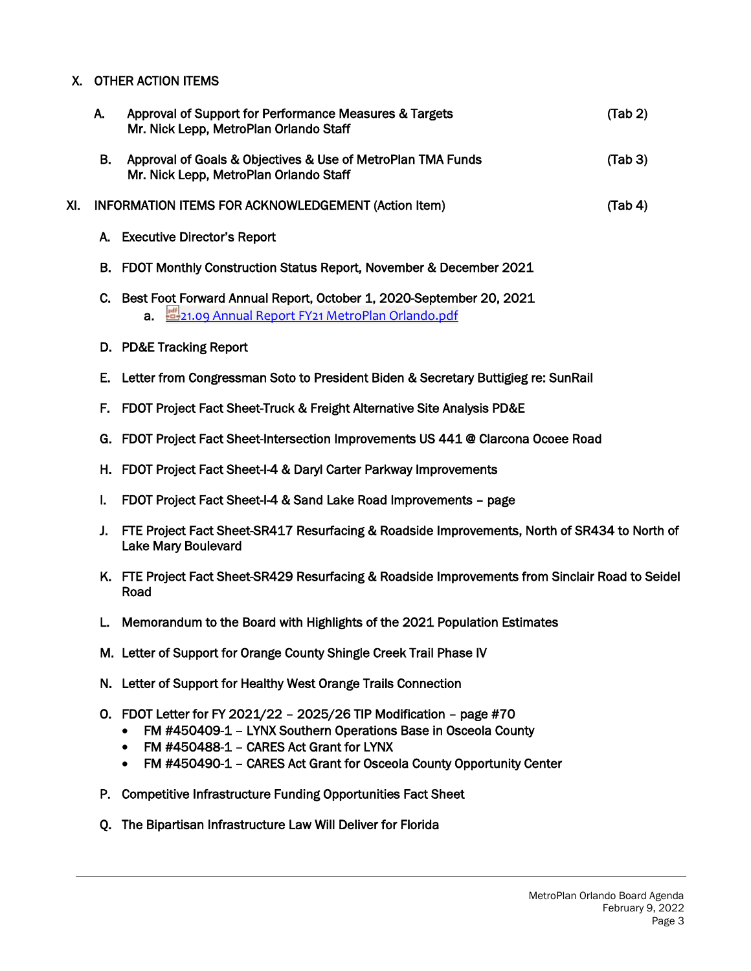# X. OTHER ACTION ITEMS

|     | А. | Approval of Support for Performance Measures & Targets<br>Mr. Nick Lepp, MetroPlan Orlando Staff                                                                                                                                                                | (Tab 2) |
|-----|----|-----------------------------------------------------------------------------------------------------------------------------------------------------------------------------------------------------------------------------------------------------------------|---------|
|     | В. | Approval of Goals & Objectives & Use of MetroPlan TMA Funds<br>Mr. Nick Lepp, MetroPlan Orlando Staff                                                                                                                                                           | (Tab 3) |
| XI. |    | INFORMATION ITEMS FOR ACKNOWLEDGEMENT (Action Item)                                                                                                                                                                                                             | (Tab 4) |
|     | А. | <b>Executive Director's Report</b>                                                                                                                                                                                                                              |         |
|     | В. | FDOT Monthly Construction Status Report, November & December 2021                                                                                                                                                                                               |         |
|     | C. | Best Foot Forward Annual Report, October 1, 2020-September 20, 2021<br>a. 21.09 Annual Report FY21 MetroPlan Orlando.pdf                                                                                                                                        |         |
|     |    | D. PD&E Tracking Report                                                                                                                                                                                                                                         |         |
|     | Е. | Letter from Congressman Soto to President Biden & Secretary Buttigieg re: SunRail                                                                                                                                                                               |         |
|     | F. | FDOT Project Fact Sheet-Truck & Freight Alternative Site Analysis PD&E                                                                                                                                                                                          |         |
|     | G. | FDOT Project Fact Sheet-Intersection Improvements US 441 @ Clarcona Ocoee Road                                                                                                                                                                                  |         |
|     | Н. | FDOT Project Fact Sheet-I-4 & Daryl Carter Parkway Improvements                                                                                                                                                                                                 |         |
|     | I. | FDOT Project Fact Sheet-I-4 & Sand Lake Road Improvements - page                                                                                                                                                                                                |         |
|     | J. | FTE Project Fact Sheet-SR417 Resurfacing & Roadside Improvements, North of SR434 to North of<br><b>Lake Mary Boulevard</b>                                                                                                                                      |         |
|     |    | K. FTE Project Fact Sheet-SR429 Resurfacing & Roadside Improvements from Sinclair Road to Seidel<br>Road                                                                                                                                                        |         |
|     | L. | Memorandum to the Board with Highlights of the 2021 Population Estimates                                                                                                                                                                                        |         |
|     |    | M. Letter of Support for Orange County Shingle Creek Trail Phase IV                                                                                                                                                                                             |         |
|     |    | N. Letter of Support for Healthy West Orange Trails Connection                                                                                                                                                                                                  |         |
|     | О. | FDOT Letter for FY 2021/22 - 2025/26 TIP Modification - page #70<br>FM #450409-1 - LYNX Southern Operations Base in Osceola County<br>FM #450488-1 - CARES Act Grant for LYNX<br>٠<br>FM #450490-1 - CARES Act Grant for Osceola County Opportunity Center<br>٠ |         |

- P. Competitive Infrastructure Funding Opportunities Fact Sheet
- Q. The Bipartisan Infrastructure Law Will Deliver for Florida